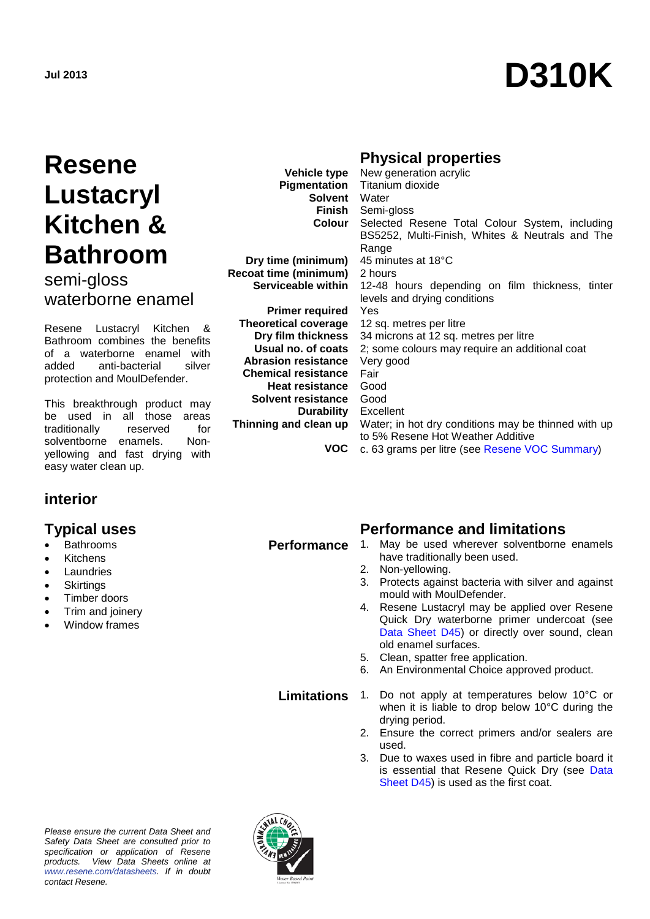# **Jul 2013 D310K**

## **Resene Lustacryl Kitchen & Bathroom**

semi-gloss waterborne enamel

Resene Lustacryl Kitchen & Bathroom combines the benefits of a waterborne enamel with added anti-bacterial silver protection and MoulDefender.

This breakthrough product may be used in all those areas traditionally reserved for solventborne enamels. Nonyellowing and fast drying with easy water clean up.

#### **interior**

- **Bathrooms**
- **Kitchens**
- **Laundries**
- **Skirtings**
- Timber doors
- Trim and joinery
- Window frames

### **Physical properties**

| <b>Vehicle type</b>         | New generation acrylic                              |
|-----------------------------|-----------------------------------------------------|
| Pigmentation                | Titanium dioxide                                    |
| Solvent                     | Water                                               |
| Finish                      | Semi-gloss                                          |
| <b>Colour</b>               | Selected Resene Total Colour System, including      |
|                             | BS5252, Multi-Finish, Whites & Neutrals and The     |
|                             | Range                                               |
| Dry time (minimum)          | 45 minutes at 18°C                                  |
| Recoat time (minimum)       | 2 hours                                             |
| Serviceable within          | 12-48 hours depending on film thickness, tinter     |
|                             | levels and drying conditions                        |
| <b>Primer required</b>      | Yes                                                 |
| <b>Theoretical coverage</b> | 12 sq. metres per litre                             |
| Dry film thickness          | 34 microns at 12 sq. metres per litre               |
| Usual no. of coats          | 2; some colours may require an additional coat      |
| <b>Abrasion resistance</b>  | Very good                                           |
| <b>Chemical resistance</b>  | Fair                                                |
| <b>Heat resistance</b>      | Good                                                |
| Solvent resistance          | Good                                                |
| <b>Durability</b> Excellent |                                                     |
| Thinning and clean up       | Water; in hot dry conditions may be thinned with up |
|                             | to 5% Resene Hot Weather Additive                   |
| VOC                         | c. 63 grams per litre (see Resene VOC Summary)      |

## **Typical uses Performance and limitations**

- **Performance** 1. May be used wherever solventborne enamels have traditionally been used.
	- 2. Non-yellowing.
	- 3. Protects against bacteria with silver and against mould with MoulDefender.
	- 4. Resene Lustacryl may be applied over Resene Quick Dry waterborne primer undercoat (see [Data Sheet D45\)](http://www.resene.co.nz/archspec/datashts/d45_QuickDryPrimerUndercoat.pdf) or directly over sound, clean old enamel surfaces.
	- 5. Clean, spatter free application.
	- 6. An Environmental Choice approved product.

**Limitations** 1. Do not apply at temperatures below 10°C or when it is liable to drop below 10°C during the drying period.

- 2. Ensure the correct primers and/or sealers are used.
- 3. Due to waxes used in fibre and particle board it is essential that Resene Quick Dry (see [Data](http://www.resene.co.nz/archspec/datashts/d45_QuickDryPrimerUndercoat.pdf)  [Sheet D45\)](http://www.resene.co.nz/archspec/datashts/d45_QuickDryPrimerUndercoat.pdf) is used as the first coat.